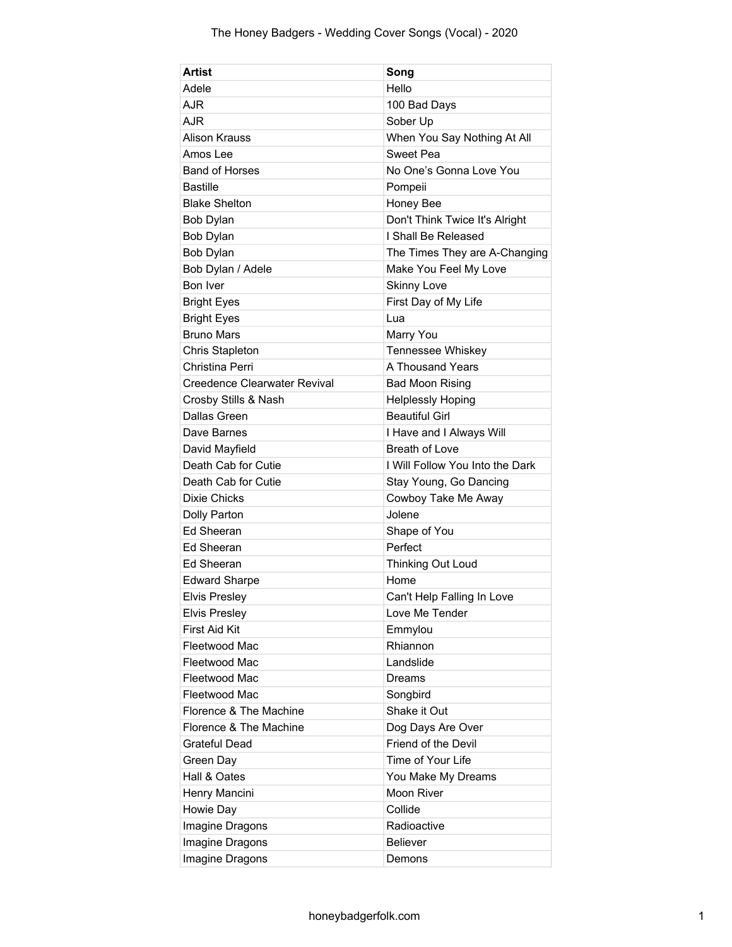| Artist                       | Song                            |
|------------------------------|---------------------------------|
| Adele                        | Hello                           |
| AJR                          | 100 Bad Days                    |
| AJR                          | Sober Up                        |
| Alison Krauss                | When You Say Nothing At All     |
| Amos Lee                     | Sweet Pea                       |
| <b>Band of Horses</b>        | No One's Gonna Love You         |
| <b>Bastille</b>              | Pompeii                         |
| <b>Blake Shelton</b>         | Honey Bee                       |
| Bob Dylan                    | Don't Think Twice It's Alright  |
| Bob Dylan                    | I Shall Be Released             |
| Bob Dylan                    | The Times They are A-Changing   |
| Bob Dylan / Adele            | Make You Feel My Love           |
| Bon Iver                     | <b>Skinny Love</b>              |
| <b>Bright Eyes</b>           | First Day of My Life            |
| <b>Bright Eyes</b>           | Lua                             |
| <b>Bruno Mars</b>            | Marry You                       |
| Chris Stapleton              | Tennessee Whiskey               |
| Christina Perri              | A Thousand Years                |
| Creedence Clearwater Revival | <b>Bad Moon Rising</b>          |
| Crosby Stills & Nash         | <b>Helplessly Hoping</b>        |
| Dallas Green                 | <b>Beautiful Girl</b>           |
| Dave Barnes                  | I Have and I Always Will        |
| David Mayfield               | <b>Breath of Love</b>           |
| Death Cab for Cutie          | I Will Follow You Into the Dark |
| Death Cab for Cutie          | Stay Young, Go Dancing          |
| <b>Dixie Chicks</b>          | Cowboy Take Me Away             |
| Dolly Parton                 | Jolene                          |
| Ed Sheeran                   | Shape of You                    |
| Ed Sheeran                   | Perfect                         |
| Ed Sheeran                   | Thinking Out Loud               |
| <b>Edward Sharpe</b>         | Home                            |
| <b>Elvis Preslev</b>         | Can't Help Falling In Love      |
| <b>Elvis Presley</b>         | Love Me Tender                  |
| First Aid Kit                | Emmylou                         |
| Fleetwood Mac                | Rhiannon                        |
| Fleetwood Mac                | Landslide                       |
| Fleetwood Mac                | Dreams                          |
| Fleetwood Mac                | Songbird                        |
| Florence & The Machine       | Shake it Out                    |
| Florence & The Machine       | Dog Days Are Over               |
| <b>Grateful Dead</b>         | Friend of the Devil             |
| Green Day                    | Time of Your Life               |
| Hall & Oates                 | You Make My Dreams              |
| Henry Mancini                | Moon River                      |
| Howie Day                    | Collide                         |
| Imagine Dragons              | Radioactive                     |
| Imagine Dragons              | <b>Believer</b>                 |
| Imagine Dragons              | Demons                          |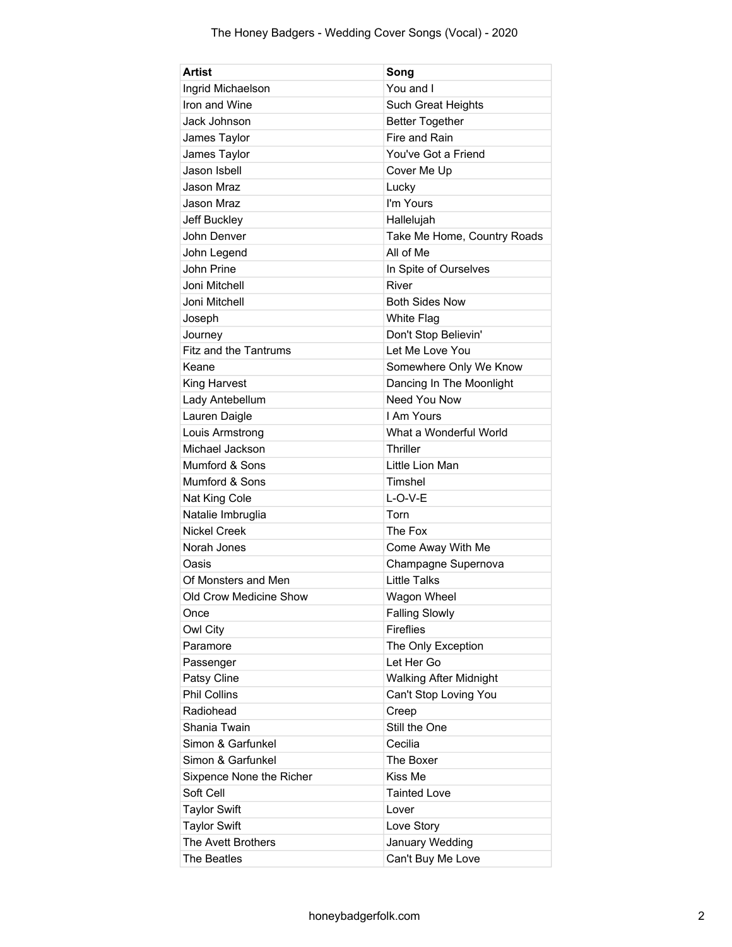| Artist                       | Song                          |
|------------------------------|-------------------------------|
| Ingrid Michaelson            | You and I                     |
| Iron and Wine                | Such Great Heights            |
| Jack Johnson                 | <b>Better Together</b>        |
| James Taylor                 | Fire and Rain                 |
| James Taylor                 | You've Got a Friend           |
| Jason Isbell                 | Cover Me Up                   |
| Jason Mraz                   | Lucky                         |
| Jason Mraz                   | I'm Yours                     |
| Jeff Buckley                 | Hallelujah                    |
| John Denver                  | Take Me Home, Country Roads   |
| John Legend                  | All of Me                     |
| John Prine                   | In Spite of Ourselves         |
| Joni Mitchell                | River                         |
| Joni Mitchell                | <b>Both Sides Now</b>         |
| Joseph                       | White Flag                    |
| Journey                      | Don't Stop Believin'          |
| <b>Fitz and the Tantrums</b> | Let Me Love You               |
| Keane                        | Somewhere Only We Know        |
| King Harvest                 | Dancing In The Moonlight      |
| Lady Antebellum              | Need You Now                  |
| Lauren Daigle                | I Am Yours                    |
| Louis Armstrong              | What a Wonderful World        |
| Michael Jackson              | <b>Thriller</b>               |
| Mumford & Sons               | Little Lion Man               |
| Mumford & Sons               | Timshel                       |
| Nat King Cole                | $L-O-V-E$                     |
| Natalie Imbruglia            | Torn                          |
| <b>Nickel Creek</b>          | The Fox                       |
| Norah Jones                  | Come Away With Me             |
| Oasis                        | Champagne Supernova           |
| Of Monsters and Men          | <b>Little Talks</b>           |
| Old Crow Medicine Show       | Wagon Wheel                   |
| Once                         | <b>Falling Slowly</b>         |
| Owl City                     | <b>Fireflies</b>              |
| Paramore                     | The Only Exception            |
| Passenger                    | Let Her Go                    |
| Patsy Cline                  | <b>Walking After Midnight</b> |
| <b>Phil Collins</b>          | Can't Stop Loving You         |
| Radiohead                    | Creep                         |
| Shania Twain                 | Still the One                 |
| Simon & Garfunkel            | Cecilia                       |
| Simon & Garfunkel            | The Boxer                     |
| Sixpence None the Richer     | Kiss Me                       |
| Soft Cell                    | <b>Tainted Love</b>           |
| <b>Taylor Swift</b>          | Lover                         |
| <b>Taylor Swift</b>          | Love Story                    |
| The Avett Brothers           | January Wedding               |
| The Beatles                  | Can't Buy Me Love             |